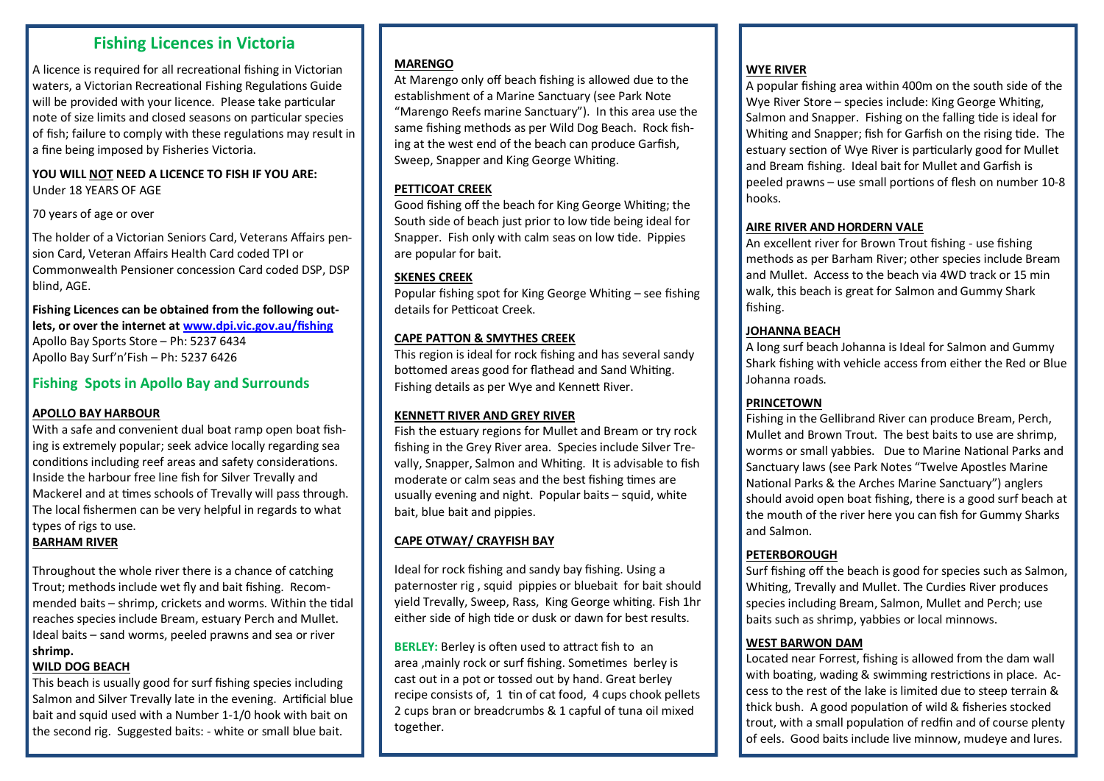# **Fishing Licences in Victoria**

A licence is required for all recreational fishing in Victorian waters, a Victorian Recreational Fishing Regulations Guide will be provided with your licence. Please take particular note of size limits and closed seasons on particular species of fish; failure to comply with these regulations may result in a fine being imposed by Fisheries Victoria.

# **YOU WILL NOT NEED A LICENCE TO FISH IF YOU ARE:**

Under 18 YEARS OF AGE

#### 70 years of age or over

The holder of a Victorian Seniors Card, Veterans Affairs pension Card, Veteran Affairs Health Card coded TPI or Commonwealth Pensioner concession Card coded DSP, DSP blind, AGE.

#### **Fishing Licences can be obtained from the following outlets, or over the internet at [www.dpi.vic.gov.au/fishing](http://www.dpi.vic.gov.au/fishing)** Apollo Bay Sports Store – Ph: 5237 6434 Apollo Bay Surf'n'Fish – Ph: 5237 6426

# **Fishing Spots in Apollo Bay and Surrounds**

### **APOLLO BAY HARBOUR**

With a safe and convenient dual boat ramp open boat fishing is extremely popular; seek advice locally regarding sea conditions including reef areas and safety considerations. Inside the harbour free line fish for Silver Trevally and Mackerel and at times schools of Trevally will pass through. The local fishermen can be very helpful in regards to what types of rigs to use.

# **BARHAM RIVER**

Throughout the whole river there is a chance of catching Trout; methods include wet fly and bait fishing. Recommended baits – shrimp, crickets and worms. Within the tidal reaches species include Bream, estuary Perch and Mullet. Ideal baits – sand worms, peeled prawns and sea or river **shrimp.**

### **WILD DOG BEACH**

This beach is usually good for surf fishing species including Salmon and Silver Trevally late in the evening. Artificial blue bait and squid used with a Number 1-1/0 hook with bait on the second rig. Suggested baits: - white or small blue bait.

#### **MARENGO**

At Marengo only off beach fishing is allowed due to the establishment of a Marine Sanctuary (see Park Note "Marengo Reefs marine Sanctuary"). In this area use the same fishing methods as per Wild Dog Beach. Rock fishing at the west end of the beach can produce Garfish, Sweep, Snapper and King George Whiting.

### **PETTICOAT CREEK**

Good fishing off the beach for King George Whiting; the South side of beach just prior to low tide being ideal for Snapper. Fish only with calm seas on low tide. Pippies are popular for bait.

## **SKENES CREEK**

Popular fishing spot for King George Whiting – see fishing details for Petticoat Creek.

### **CAPE PATTON & SMYTHES CREEK**

This region is ideal for rock fishing and has several sandy bottomed areas good for flathead and Sand Whiting. Fishing details as per Wye and Kennett River.

### **KENNETT RIVER AND GREY RIVER**

Fish the estuary regions for Mullet and Bream or try rock fishing in the Grey River area. Species include Silver Trevally, Snapper, Salmon and Whiting. It is advisable to fish moderate or calm seas and the best fishing times are usually evening and night. Popular baits – squid, white bait, blue bait and pippies.

# **CAPE OTWAY/ CRAYFISH BAY**

Ideal for rock fishing and sandy bay fishing. Using a paternoster rig , squid pippies or bluebait for bait should yield Trevally, Sweep, Rass, King George whiting. Fish 1hr either side of high tide or dusk or dawn for best results.

**BERLEY:** Berley is often used to attract fish to an area ,mainly rock or surf fishing. Sometimes berley is cast out in a pot or tossed out by hand. Great berley recipe consists of, 1 tin of cat food, 4 cups chook pellets 2 cups bran or breadcrumbs & 1 capful of tuna oil mixed together.

#### **WYE RIVER**

A popular fishing area within 400m on the south side of the Wye River Store – species include: King George Whiting, Salmon and Snapper. Fishing on the falling tide is ideal for Whiting and Snapper; fish for Garfish on the rising tide. The estuary section of Wye River is particularly good for Mullet and Bream fishing. Ideal bait for Mullet and Garfish is peeled prawns – use small portions of flesh on number 10-8 hooks.

#### **AIRE RIVER AND HORDERN VALE**

An excellent river for Brown Trout fishing - use fishing methods as per Barham River; other species include Bream and Mullet. Access to the beach via 4WD track or 15 min walk, this beach is great for Salmon and Gummy Shark fishing.

#### **JOHANNA BEACH**

A long surf beach Johanna is Ideal for Salmon and Gummy Shark fishing with vehicle access from either the Red or Blue Johanna roads.

### **PRINCETOWN**

Fishing in the Gellibrand River can produce Bream, Perch, Mullet and Brown Trout. The best baits to use are shrimp, worms or small yabbies. Due to Marine National Parks and Sanctuary laws (see Park Notes "Twelve Apostles Marine National Parks & the Arches Marine Sanctuary") anglers should avoid open boat fishing, there is a good surf beach at the mouth of the river here you can fish for Gummy Sharks and Salmon.

#### **PETERBOROUGH**

Surf fishing off the beach is good for species such as Salmon, Whiting, Trevally and Mullet. The Curdies River produces species including Bream, Salmon, Mullet and Perch; use baits such as shrimp, yabbies or local minnows.

#### **WEST BARWON DAM**

Located near Forrest, fishing is allowed from the dam wall with boating, wading & swimming restrictions in place. Access to the rest of the lake is limited due to steep terrain & thick bush. A good population of wild & fisheries stocked trout, with a small population of redfin and of course plenty of eels. Good baits include live minnow, mudeye and lures.